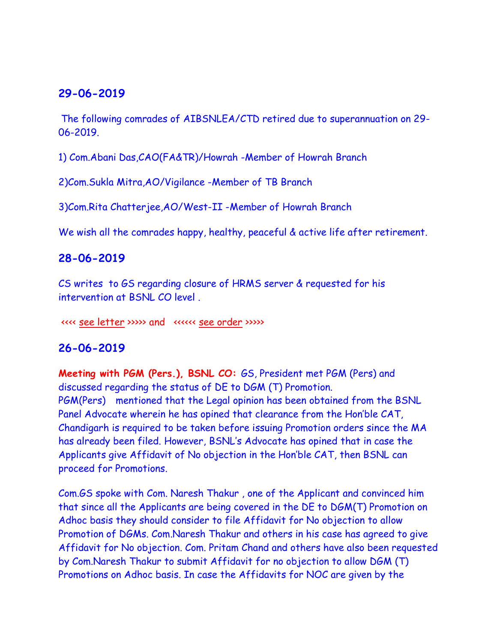### **29-06-2019**

The following comrades of AIBSNLEA/CTD retired due to superannuation on 29- 06-2019.

1) Com.Abani Das,CAO(FA&TR)/Howrah -Member of Howrah Branch

2)Com.Sukla Mitra,AO/Vigilance -Member of TB Branch

3)Com.Rita Chatterjee,AO/West-II -Member of Howrah Branch

We wish all the comrades happy, healthy, peaceful & active life after retirement.

### **28-06-2019**

CS writes to GS regarding closure of HRMS server & requested for his intervention at BSNL CO level .

<<<< [see letter](HRMS_closure.pdf) >>>>> and <<<<<< [see order](HRMS%20closure%20order.pdf) >>>>>

### **26-06-2019**

**Meeting with PGM (Pers.), BSNL CO:** GS, President met PGM (Pers) and discussed regarding the status of DE to DGM (T) Promotion. PGM(Pers) mentioned that the Legal opinion has been obtained from the BSNL Panel Advocate wherein he has opined that clearance from the Hon'ble CAT, Chandigarh is required to be taken before issuing Promotion orders since the MA has already been filed. However, BSNL's Advocate has opined that in case the Applicants give Affidavit of No objection in the Hon'ble CAT, then BSNL can proceed for Promotions.

Com.GS spoke with Com. Naresh Thakur , one of the Applicant and convinced him that since all the Applicants are being covered in the DE to DGM(T) Promotion on Adhoc basis they should consider to file Affidavit for No objection to allow Promotion of DGMs. Com.Naresh Thakur and others in his case has agreed to give Affidavit for No objection. Com. Pritam Chand and others have also been requested by Com.Naresh Thakur to submit Affidavit for no objection to allow DGM (T) Promotions on Adhoc basis. In case the Affidavits for NOC are given by the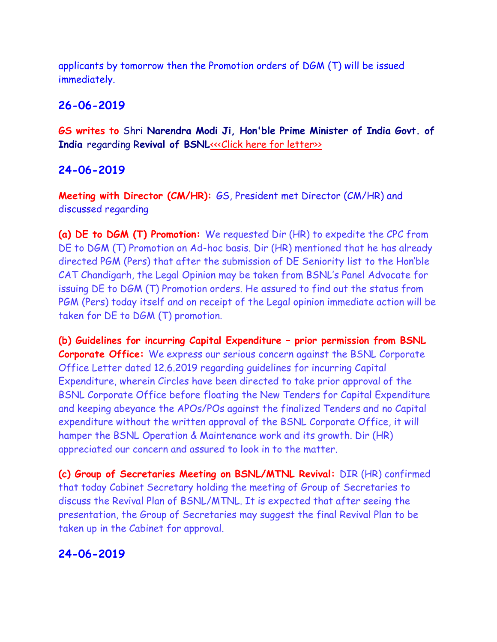applicants by tomorrow then the Promotion orders of DGM (T) will be issued immediately.

### **26-06-2019**

**GS writes to** Shri **Narendra Modi Ji, Hon'ble Prime Minister of India Govt. of India** regarding Revival of BSNL[<<<Click here for letter>>](http://www.aibsnleachq.in/cmd_190626.pdf)

### **24-06-2019**

**Meeting with Director (CM/HR):** GS, President met Director (CM/HR) and discussed regarding

**(a) DE to DGM (T) Promotion:** We requested Dir (HR) to expedite the CPC from DE to DGM (T) Promotion on Ad-hoc basis. Dir (HR) mentioned that he has already directed PGM (Pers) that after the submission of DE Seniority list to the Hon'ble CAT Chandigarh, the Legal Opinion may be taken from BSNL's Panel Advocate for issuing DE to DGM (T) Promotion orders. He assured to find out the status from PGM (Pers) today itself and on receipt of the Legal opinion immediate action will be taken for DE to DGM (T) promotion.

**(b) Guidelines for incurring Capital Expenditure – prior permission from BSNL Corporate Office:** We express our serious concern against the BSNL Corporate Office Letter dated 12.6.2019 regarding guidelines for incurring Capital Expenditure, wherein Circles have been directed to take prior approval of the BSNL Corporate Office before floating the New Tenders for Capital Expenditure and keeping abeyance the APOs/POs against the finalized Tenders and no Capital expenditure without the written approval of the BSNL Corporate Office, it will hamper the BSNL Operation & Maintenance work and its growth. Dir (HR) appreciated our concern and assured to look in to the matter.

**(c) Group of Secretaries Meeting on BSNL/MTNL Revival:** DIR (HR) confirmed that today Cabinet Secretary holding the meeting of Group of Secretaries to discuss the Revival Plan of BSNL/MTNL. It is expected that after seeing the presentation, the Group of Secretaries may suggest the final Revival Plan to be taken up in the Cabinet for approval.

### **24-06-2019**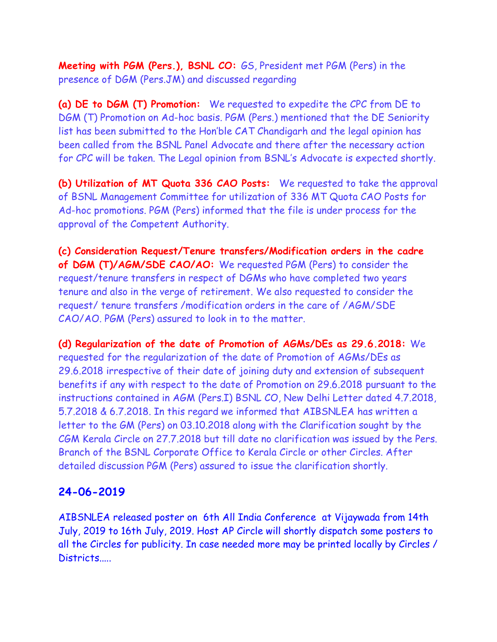**Meeting with PGM (Pers.), BSNL CO:** GS, President met PGM (Pers) in the presence of DGM (Pers.JM) and discussed regarding

**(a) DE to DGM (T) Promotion:** We requested to expedite the CPC from DE to DGM (T) Promotion on Ad-hoc basis. PGM (Pers.) mentioned that the DE Seniority list has been submitted to the Hon'ble CAT Chandigarh and the legal opinion has been called from the BSNL Panel Advocate and there after the necessary action for CPC will be taken. The Legal opinion from BSNL's Advocate is expected shortly.

**(b) Utilization of MT Quota 336 CAO Posts:** We requested to take the approval of BSNL Management Committee for utilization of 336 MT Quota CAO Posts for Ad-hoc promotions. PGM (Pers) informed that the file is under process for the approval of the Competent Authority.

**(c) Consideration Request/Tenure transfers/Modification orders in the cadre of DGM (T)/AGM/SDE CAO/AO:** We requested PGM (Pers) to consider the request/tenure transfers in respect of DGMs who have completed two years tenure and also in the verge of retirement. We also requested to consider the request/ tenure transfers /modification orders in the care of /AGM/SDE CAO/AO. PGM (Pers) assured to look in to the matter.

**(d) Regularization of the date of Promotion of AGMs/DEs as 29.6.2018:** We requested for the regularization of the date of Promotion of AGMs/DEs as 29.6.2018 irrespective of their date of joining duty and extension of subsequent benefits if any with respect to the date of Promotion on 29.6.2018 pursuant to the instructions contained in AGM (Pers.I) BSNL CO, New Delhi Letter dated 4.7.2018, 5.7.2018 & 6.7.2018. In this regard we informed that AIBSNLEA has written a letter to the GM (Pers) on 03.10.2018 along with the Clarification sought by the CGM Kerala Circle on 27.7.2018 but till date no clarification was issued by the Pers. Branch of the BSNL Corporate Office to Kerala Circle or other Circles. After detailed discussion PGM (Pers) assured to issue the clarification shortly.

### **24-06-2019**

AIBSNLEA released poster on 6th All India Conference at Vijaywada from 14th July, 2019 to 16th July, 2019. Host AP Circle will shortly dispatch some posters to all the Circles for publicity. In case needed more may be printed locally by Circles / Districts.....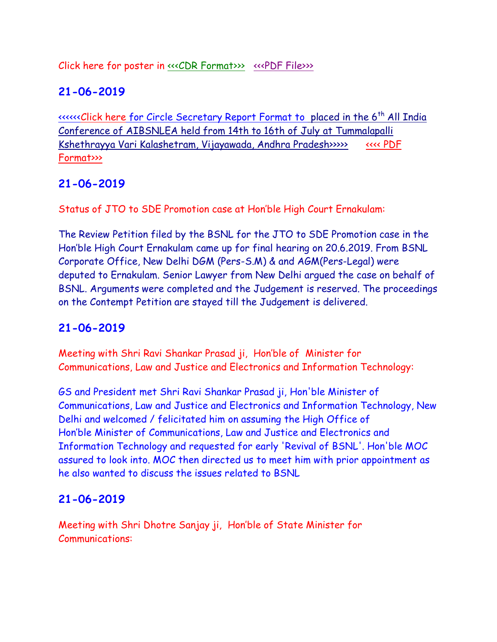Click here for poster in <u>«<<CDR Format>>> <<<PDF File>></u>>>>>>

# **21-06-2019**

<<<<<<Click here [for Circle Secretary Report Format to](http://www.aibsnleachq.in/AIC%20Vijawada%20CS%20%20Reports.docx) [placed in the 6](http://www.aibsnleachq.in/AIC%20Vijawada%20CS%20%20Reports.docx)th All India [Conference of AIBSNLEA held from 14th to 16th of July](http://www.aibsnleachq.in/AIC%20Vijawada%20CS%20%20Reports.docx) at Tummalapalli [Kshethrayya Vari Kalashetram, Vijayawada, Andhra Pradesh>>>>>](http://www.aibsnleachq.in/AIC%20Vijawada%20CS%20%20Reports.docx) [<<<< PDF](http://www.aibsnleachq.in/AIC%20Vijawada%20CS%20%20Reports.pdf)  [Format>>>](http://www.aibsnleachq.in/AIC%20Vijawada%20CS%20%20Reports.pdf)

# **21-06-2019**

Status of JTO to SDE Promotion case at Hon'ble High Court Ernakulam:

The Review Petition filed by the BSNL for the JTO to SDE Promotion case in the Hon'ble High Court Ernakulam came up for final hearing on 20.6.2019. From BSNL Corporate Office, New Delhi DGM (Pers-S.M) & and AGM(Pers-Legal) were deputed to Ernakulam. Senior Lawyer from New Delhi argued the case on behalf of BSNL. Arguments were completed and the Judgement is reserved. The proceedings on the Contempt Petition are stayed till the Judgement is delivered.

# **21-06-2019**

Meeting with Shri Ravi Shankar Prasad ji, Hon'ble of Minister for Communications, Law and Justice and Electronics and Information Technology:

GS and President met Shri Ravi Shankar Prasad ji, Hon'ble Minister of Communications, Law and Justice and Electronics and Information Technology, New Delhi and welcomed / felicitated him on assuming the High Office of Hon'ble Minister of Communications, Law and Justice and Electronics and Information Technology and requested for early 'Revival of BSNL'. Hon'ble MOC assured to look into. MOC then directed us to meet him with prior appointment as he also wanted to discuss the issues related to BSNL

## **21-06-2019**

Meeting with Shri Dhotre Sanjay ji, Hon'ble of State Minister for Communications: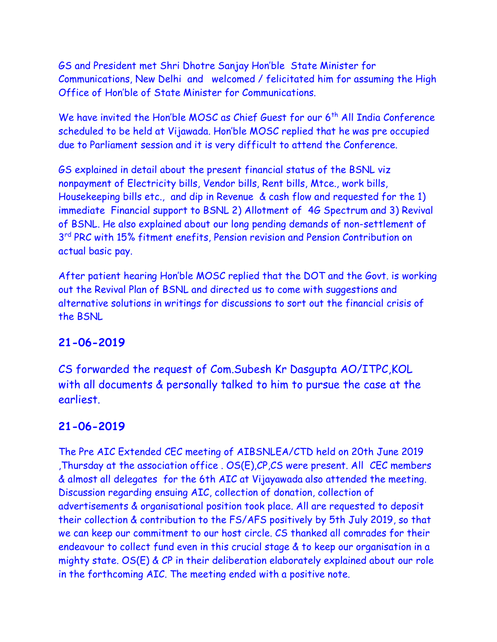GS and President met Shri Dhotre Sanjay Hon'ble State Minister for Communications, New Delhi and welcomed / felicitated him for assuming the High Office of Hon'ble of State Minister for Communications.

We have invited the Hon'ble MOSC as Chief Guest for our 6<sup>th</sup> All India Conference scheduled to be held at Vijawada. Hon'ble MOSC replied that he was pre occupied due to Parliament session and it is very difficult to attend the Conference.

GS explained in detail about the present financial status of the BSNL viz nonpayment of Electricity bills, Vendor bills, Rent bills, Mtce., work bills, Housekeeping bills etc., and dip in Revenue & cash flow and requested for the 1) immediate Financial support to BSNL 2) Allotment of 4G Spectrum and 3) Revival of BSNL. He also explained about our long pending demands of non-settlement of 3<sup>rd</sup> PRC with 15% fitment enefits, Pension revision and Pension Contribution on actual basic pay.

After patient hearing Hon'ble MOSC replied that the DOT and the Govt. is working out the Revival Plan of BSNL and directed us to come with suggestions and alternative solutions in writings for discussions to sort out the financial crisis of the BSNL

### **21-06-2019**

CS forwarded the request of Com.Subesh Kr Dasgupta AO/ITPC,KOL with all documents & personally talked to him to pursue the case at the earliest.

### **21-06-2019**

The Pre AIC Extended CEC meeting of AIBSNLEA/CTD held on 20th June 2019 ,Thursday at the association office . OS(E),CP,CS were present. All CEC members & almost all delegates for the 6th AIC at Vijayawada also attended the meeting. Discussion regarding ensuing AIC, collection of donation, collection of advertisements & organisational position took place. All are requested to deposit their collection & contribution to the FS/AFS positively by 5th July 2019, so that we can keep our commitment to our host circle. CS thanked all comrades for their endeavour to collect fund even in this crucial stage & to keep our organisation in a mighty state. OS(E) & CP in their deliberation elaborately explained about our role in the forthcoming AIC. The meeting ended with a positive note.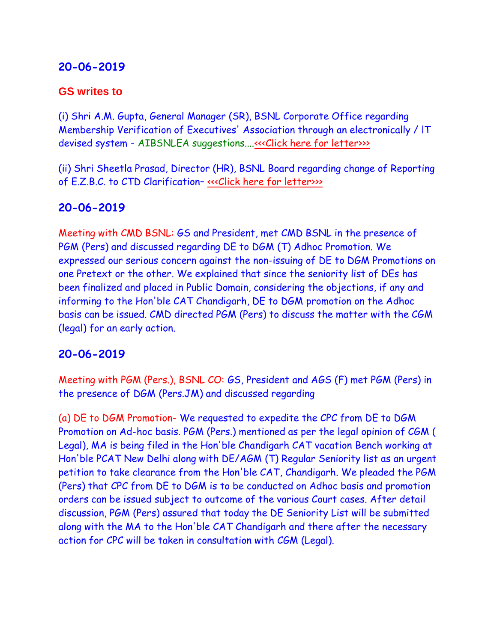### **20-06-2019**

#### **GS writes to**

(i) Shri A.M. Gupta, General Manager (SR), BSNL Corporate Office regarding Membership Verification of Executives' Association through an electronically / lT devised system - AIBSNLEA suggestions...[.<<<Click here for letter>>>](http://www.aibsnleachq.in/GM(SR__190620.PDF)

(ii) Shri Sheetla Prasad, Director (HR), BSNL Board regarding change of Reporting of E.Z.B.C. to CTD Clarification– [<<<Click here for letter>>>](http://www.aibsnleachq.in/DIR(HR)_190620.pdf)

### **20-06-2019**

Meeting with CMD BSNL: GS and President, met CMD BSNL in the presence of PGM (Pers) and discussed regarding DE to DGM (T) Adhoc Promotion. We expressed our serious concern against the non-issuing of DE to DGM Promotions on one Pretext or the other. We explained that since the seniority list of DEs has been finalized and placed in Public Domain, considering the objections, if any and informing to the Hon'ble CAT Chandigarh, DE to DGM promotion on the Adhoc basis can be issued. CMD directed PGM (Pers) to discuss the matter with the CGM (legal) for an early action.

### **20-06-2019**

Meeting with PGM (Pers.), BSNL CO: GS, President and AGS (F) met PGM (Pers) in the presence of DGM (Pers.JM) and discussed regarding

(a) DE to DGM Promotion- We requested to expedite the CPC from DE to DGM Promotion on Ad-hoc basis. PGM (Pers.) mentioned as per the legal opinion of CGM ( Legal), MA is being filed in the Hon'ble Chandigarh CAT vacation Bench working at Hon'ble PCAT New Delhi along with DE/AGM (T) Regular Seniority list as an urgent petition to take clearance from the Hon'ble CAT, Chandigarh. We pleaded the PGM (Pers) that CPC from DE to DGM is to be conducted on Adhoc basis and promotion orders can be issued subject to outcome of the various Court cases. After detail discussion, PGM (Pers) assured that today the DE Seniority List will be submitted along with the MA to the Hon'ble CAT Chandigarh and there after the necessary action for CPC will be taken in consultation with CGM (Legal).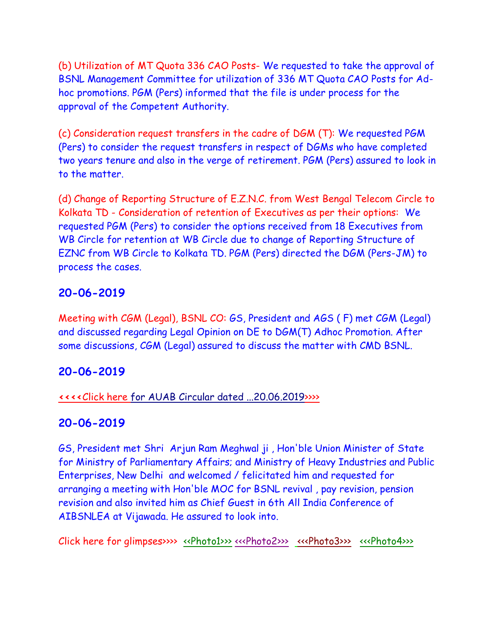(b) Utilization of MT Quota 336 CAO Posts- We requested to take the approval of BSNL Management Committee for utilization of 336 MT Quota CAO Posts for Adhoc promotions. PGM (Pers) informed that the file is under process for the approval of the Competent Authority.

(c) Consideration request transfers in the cadre of DGM (T): We requested PGM (Pers) to consider the request transfers in respect of DGMs who have completed two years tenure and also in the verge of retirement. PGM (Pers) assured to look in to the matter.

(d) Change of Reporting Structure of E.Z.N.C. from West Bengal Telecom Circle to Kolkata TD - Consideration of retention of Executives as per their options: We requested PGM (Pers) to consider the options received from 18 Executives from WB Circle for retention at WB Circle due to change of Reporting Structure of EZNC from WB Circle to Kolkata TD. PGM (Pers) directed the DGM (Pers-JM) to process the cases.

#### **20-06-2019**

Meeting with CGM (Legal), BSNL CO: GS, President and AGS ( F) met CGM (Legal) and discussed regarding Legal Opinion on DE to DGM(T) Adhoc Promotion. After some discussions, CGM (Legal) assured to discuss the matter with CMD BSNL.

### **20-06-2019**

#### **[<<<<](http://www.aibsnleachq.in/AUAB%20Circular%2020.06.2019.pdf)**Click here [for AUAB Circular dated ...20.06.2019>>>>](http://www.aibsnleachq.in/AUAB%20Circular%2020.06.2019.pdf)

#### **20-06-2019**

GS, President met Shri Arjun Ram Meghwal ji , Hon'ble Union Minister of State for Ministry of Parliamentary Affairs; and Ministry of Heavy Industries and Public Enterprises, New Delhi and welcomed / felicitated him and requested for arranging a meeting with Hon'ble MOC for BSNL revival , pay revision, pension revision and also invited him as Chief Guest in 6th All India Conference of AIBSNLEA at Vijawada. He assured to look into.

Click here for glimpses>>>> [<<Photo1>>>](http://www.aibsnleachq.in/328e18c3-e91f-4f60-bb91-1f8ef91842bf.jpg) [<<<Photo2>>>](http://www.aibsnleachq.in/ea8e4be1-ac6f-49d3-a25d-2a843b80751a.jpg) [<<<Photo3>>>](http://www.aibsnleachq.in/ea8e4be1-ac6f-49d3-a25d-2a843b80751a%20(1).jpg) [<<<Photo4>>>](http://www.aibsnleachq.in/9dfcf8d5-23bc-47fd-b428-056ba161281c.jpg)>>>>>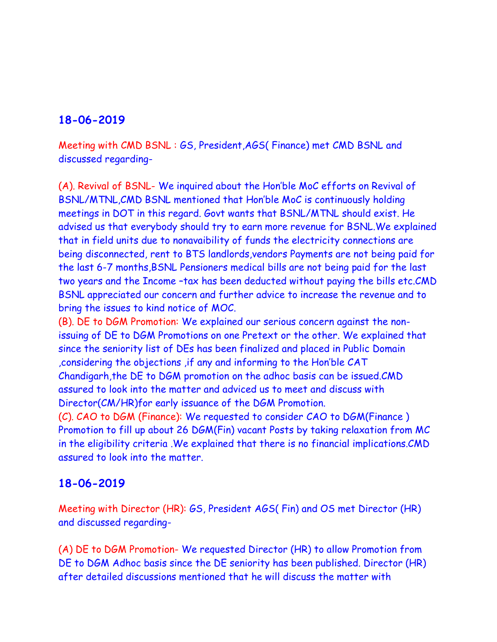### **18-06-2019**

Meeting with CMD BSNL : GS, President,AGS( Finance) met CMD BSNL and discussed regarding-

(A). Revival of BSNL- We inquired about the Hon'ble MoC efforts on Revival of BSNL/MTNL,CMD BSNL mentioned that Hon'ble MoC is continuously holding meetings in DOT in this regard. Govt wants that BSNL/MTNL should exist. He advised us that everybody should try to earn more revenue for BSNL.We explained that in field units due to nonavaibility of funds the electricity connections are being disconnected, rent to BTS landlords,vendors Payments are not being paid for the last 6-7 months,BSNL Pensioners medical bills are not being paid for the last two years and the Income –tax has been deducted without paying the bills etc.CMD BSNL appreciated our concern and further advice to increase the revenue and to bring the issues to kind notice of MOC.

(B). DE to DGM Promotion: We explained our serious concern against the nonissuing of DE to DGM Promotions on one Pretext or the other. We explained that since the seniority list of DEs has been finalized and placed in Public Domain ,considering the objections ,if any and informing to the Hon'ble CAT Chandigarh,the DE to DGM promotion on the adhoc basis can be issued.CMD assured to look into the matter and adviced us to meet and discuss with Director(CM/HR)for early issuance of the DGM Promotion.

(C). CAO to DGM (Finance): We requested to consider CAO to DGM(Finance ) Promotion to fill up about 26 DGM(Fin) vacant Posts by taking relaxation from MC in the eligibility criteria .We explained that there is no financial implications.CMD assured to look into the matter.

### **18-06-2019**

Meeting with Director (HR): GS, President AGS( Fin) and OS met Director (HR) and discussed regarding-

(A) DE to DGM Promotion- We requested Director (HR) to allow Promotion from DE to DGM Adhoc basis since the DE seniority has been published. Director (HR) after detailed discussions mentioned that he will discuss the matter with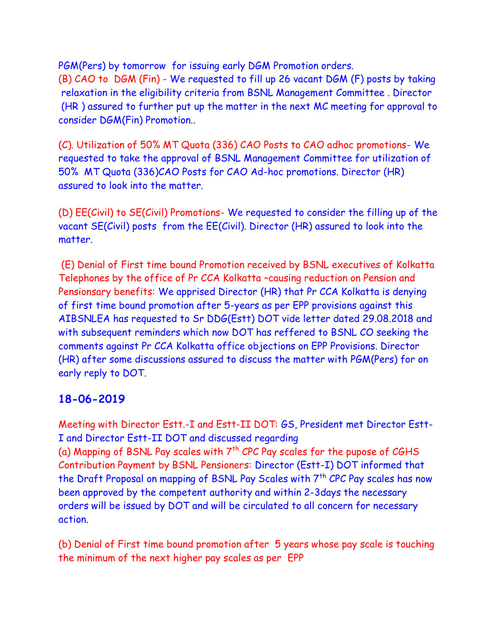PGM(Pers) by tomorrow for issuing early DGM Promotion orders. (B) CAO to DGM (Fin) - We requested to fill up 26 vacant DGM (F) posts by taking relaxation in the eligibility criteria from BSNL Management Committee . Director (HR ) assured to further put up the matter in the next MC meeting for approval to consider DGM(Fin) Promotion..

(C). Utilization of 50% MT Quota (336) CAO Posts to CAO adhoc promotions- We requested to take the approval of BSNL Management Committee for utilization of 50% MT Quota (336)CAO Posts for CAO Ad-hoc promotions. Director (HR) assured to look into the matter.

(D) EE(Civil) to SE(Civil) Promotions- We requested to consider the filling up of the vacant SE(Civil) posts from the EE(Civil). Director (HR) assured to look into the matter.

(E) Denial of First time bound Promotion received by BSNL executives of Kolkatta Telephones by the office of Pr CCA Kolkatta –causing reduction on Pension and Pensionsary benefits: We apprised Director (HR) that Pr CCA Kolkatta is denying of first time bound promotion after 5-years as per EPP provisions against this AIBSNLEA has requested to Sr DDG(Estt) DOT vide letter dated 29.08.2018 and with subsequent reminders which now DOT has reffered to BSNL CO seeking the comments against Pr CCA Kolkatta office objections on EPP Provisions. Director (HR) after some discussions assured to discuss the matter with PGM(Pers) for on early reply to DOT.

### **18-06-2019**

Meeting with Director Estt.-I and Estt-II DOT: GS, President met Director Estt-I and Director Estt-II DOT and discussed regarding (a) Mapping of BSNL Pay scales with  $7<sup>th</sup>$  CPC Pay scales for the pupose of CGHS Contribution Payment by BSNL Pensioners: Director (Estt-I) DOT informed that the Draft Proposal on mapping of BSNL Pay Scales with 7<sup>th</sup> CPC Pay scales has now been approved by the competent authority and within 2-3days the necessary orders will be issued by DOT and will be circulated to all concern for necessary action.

(b) Denial of First time bound promotion after 5 years whose pay scale is touching the minimum of the next higher pay scales as per EPP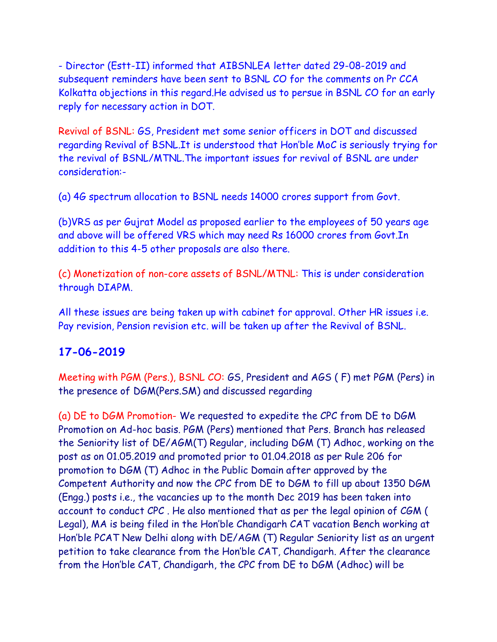- Director (Estt-II) informed that AIBSNLEA letter dated 29-08-2019 and subsequent reminders have been sent to BSNL CO for the comments on Pr CCA Kolkatta objections in this regard.He advised us to persue in BSNL CO for an early reply for necessary action in DOT.

Revival of BSNL: GS, President met some senior officers in DOT and discussed regarding Revival of BSNL.It is understood that Hon'ble MoC is seriously trying for the revival of BSNL/MTNL.The important issues for revival of BSNL are under consideration:-

(a) 4G spectrum allocation to BSNL needs 14000 crores support from Govt.

(b)VRS as per Gujrat Model as proposed earlier to the employees of 50 years age and above will be offered VRS which may need Rs 16000 crores from Govt.In addition to this 4-5 other proposals are also there.

(c) Monetization of non-core assets of BSNL/MTNL: This is under consideration through DIAPM.

All these issues are being taken up with cabinet for approval. Other HR issues i.e. Pay revision, Pension revision etc. will be taken up after the Revival of BSNL.

### **17-06-2019**

Meeting with PGM (Pers.), BSNL CO: GS, President and AGS ( F) met PGM (Pers) in the presence of DGM(Pers.SM) and discussed regarding

(a) DE to DGM Promotion- We requested to expedite the CPC from DE to DGM Promotion on Ad-hoc basis. PGM (Pers) mentioned that Pers. Branch has released the Seniority list of DE/AGM(T) Regular, including DGM (T) Adhoc, working on the post as on 01.05.2019 and promoted prior to 01.04.2018 as per Rule 206 for promotion to DGM (T) Adhoc in the Public Domain after approved by the Competent Authority and now the CPC from DE to DGM to fill up about 1350 DGM (Engg.) posts i.e., the vacancies up to the month Dec 2019 has been taken into account to conduct CPC . He also mentioned that as per the legal opinion of CGM ( Legal), MA is being filed in the Hon'ble Chandigarh CAT vacation Bench working at Hon'ble PCAT New Delhi along with DE/AGM (T) Regular Seniority list as an urgent petition to take clearance from the Hon'ble CAT, Chandigarh. After the clearance from the Hon'ble CAT, Chandigarh, the CPC from DE to DGM (Adhoc) will be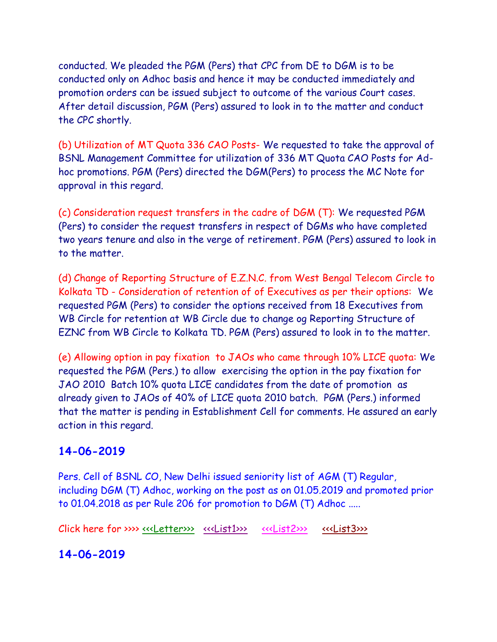conducted. We pleaded the PGM (Pers) that CPC from DE to DGM is to be conducted only on Adhoc basis and hence it may be conducted immediately and promotion orders can be issued subject to outcome of the various Court cases. After detail discussion, PGM (Pers) assured to look in to the matter and conduct the CPC shortly.

(b) Utilization of MT Quota 336 CAO Posts- We requested to take the approval of BSNL Management Committee for utilization of 336 MT Quota CAO Posts for Adhoc promotions. PGM (Pers) directed the DGM(Pers) to process the MC Note for approval in this regard.

(c) Consideration request transfers in the cadre of DGM (T): We requested PGM (Pers) to consider the request transfers in respect of DGMs who have completed two years tenure and also in the verge of retirement. PGM (Pers) assured to look in to the matter.

(d) Change of Reporting Structure of E.Z.N.C. from West Bengal Telecom Circle to Kolkata TD - Consideration of retention of of Executives as per their options: We requested PGM (Pers) to consider the options received from 18 Executives from WB Circle for retention at WB Circle due to change og Reporting Structure of EZNC from WB Circle to Kolkata TD. PGM (Pers) assured to look in to the matter.

(e) Allowing option in pay fixation to JAOs who came through 10% LICE quota: We requested the PGM (Pers.) to allow exercising the option in the pay fixation for JAO 2010 Batch 10% quota LICE candidates from the date of promotion as already given to JAOs of 40% of LICE quota 2010 batch. PGM (Pers.) informed that the matter is pending in Establishment Cell for comments. He assured an early action in this regard.

### **14-06-2019**

Pers. Cell of BSNL CO, New Delhi issued seniority list of AGM (T) Regular, including DGM (T) Adhoc, working on the post as on 01.05.2019 and promoted prior to 01.04.2018 as per Rule 206 for promotion to DGM (T) Adhoc .....

Click here for >>>> [<<<Letter>>>](http://www.aibsnleachq.in/seniority_list_AGM_Pers-I_14.06.20190001.pdf) [<<<List1>>>](http://www.aibsnleachq.in/1_seniority_list_agm1_481.PDF) [<<<List2>>>](http://www.aibsnleachq.in/2_seniority_list_agm_482_1046.PDF) [<<<List3>>>](http://www.aibsnleachq.in/3_seniority_list_agm1047_1629.pdf)>>>>>

**14-06-2019**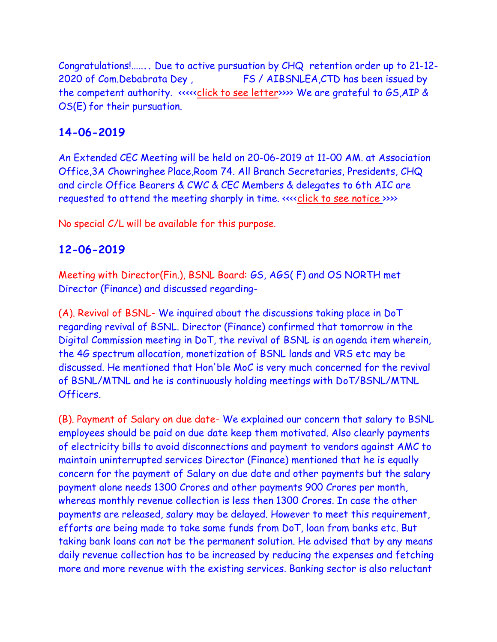Congratulations!.....**..** Due to active pursuation by CHQ retention order up to 21-12- 2020 of Com.Debabrata Dey , FS / AIBSNLEA,CTD has been issued by the competent authority. <<<<[<click to see letter>](retention%2013062019.pdf)>>> We are grateful to GS,AIP & OS(E) for their pursuation.

## **14-06-2019**

An Extended CEC Meeting will be held on 20-06-2019 at 11-00 AM. at Association Office,3A Chowringhee Place,Room 74. All Branch Secretaries, Presidents, CHQ and circle Office Bearers & CWC & CEC Members & delegates to 6th AIC are requested to attend the meeting sharply in time. «seclick to see notice [>](NOTICE%2020062019.pdf)>>>

No special C/L will be available for this purpose.

### **12-06-2019**

Meeting with Director(Fin.), BSNL Board: GS, AGS( F) and OS NORTH met Director (Finance) and discussed regarding-

(A). Revival of BSNL- We inquired about the discussions taking place in DoT regarding revival of BSNL. Director (Finance) confirmed that tomorrow in the Digital Commission meeting in DoT, the revival of BSNL is an agenda item wherein, the 4G spectrum allocation, monetization of BSNL lands and VRS etc may be discussed. He mentioned that Hon'ble MoC is very much concerned for the revival of BSNL/MTNL and he is continuously holding meetings with DoT/BSNL/MTNL Officers.

(B). Payment of Salary on due date- We explained our concern that salary to BSNL employees should be paid on due date keep them motivated. Also clearly payments of electricity bills to avoid disconnections and payment to vendors against AMC to maintain uninterrupted services Director (Finance) mentioned that he is equally concern for the payment of Salary on due date and other payments but the salary payment alone needs 1300 Crores and other payments 900 Crores per month, whereas monthly revenue collection is less then 1300 Crores. In case the other payments are released, salary may be delayed. However to meet this requirement, efforts are being made to take some funds from DoT, loan from banks etc. But taking bank loans can not be the permanent solution. He advised that by any means daily revenue collection has to be increased by reducing the expenses and fetching more and more revenue with the existing services. Banking sector is also reluctant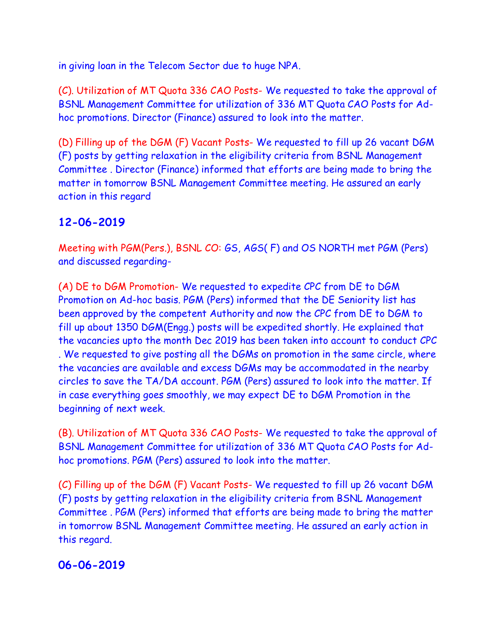in giving loan in the Telecom Sector due to huge NPA.

(C). Utilization of MT Quota 336 CAO Posts- We requested to take the approval of BSNL Management Committee for utilization of 336 MT Quota CAO Posts for Adhoc promotions. Director (Finance) assured to look into the matter.

(D) Filling up of the DGM (F) Vacant Posts- We requested to fill up 26 vacant DGM (F) posts by getting relaxation in the eligibility criteria from BSNL Management Committee . Director (Finance) informed that efforts are being made to bring the matter in tomorrow BSNL Management Committee meeting. He assured an early action in this regard

### **12-06-2019**

Meeting with PGM(Pers.), BSNL CO: GS, AGS( F) and OS NORTH met PGM (Pers) and discussed regarding-

(A) DE to DGM Promotion- We requested to expedite CPC from DE to DGM Promotion on Ad-hoc basis. PGM (Pers) informed that the DE Seniority list has been approved by the competent Authority and now the CPC from DE to DGM to fill up about 1350 DGM(Engg.) posts will be expedited shortly. He explained that the vacancies upto the month Dec 2019 has been taken into account to conduct CPC . We requested to give posting all the DGMs on promotion in the same circle, where the vacancies are available and excess DGMs may be accommodated in the nearby circles to save the TA/DA account. PGM (Pers) assured to look into the matter. If in case everything goes smoothly, we may expect DE to DGM Promotion in the beginning of next week.

(B). Utilization of MT Quota 336 CAO Posts- We requested to take the approval of BSNL Management Committee for utilization of 336 MT Quota CAO Posts for Adhoc promotions. PGM (Pers) assured to look into the matter.

(C) Filling up of the DGM (F) Vacant Posts- We requested to fill up 26 vacant DGM (F) posts by getting relaxation in the eligibility criteria from BSNL Management Committee . PGM (Pers) informed that efforts are being made to bring the matter in tomorrow BSNL Management Committee meeting. He assured an early action in this regard.

### **06-06-2019**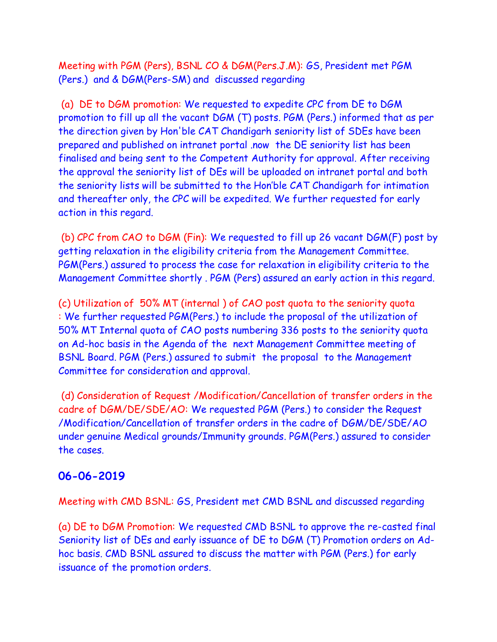Meeting with PGM (Pers), BSNL CO & DGM(Pers.J.M): GS, President met PGM (Pers.) and & DGM(Pers-SM) and discussed regarding

(a) DE to DGM promotion: We requested to expedite CPC from DE to DGM promotion to fill up all the vacant DGM (T) posts. PGM (Pers.) informed that as per the direction given by Hon'ble CAT Chandigarh seniority list of SDEs have been prepared and published on intranet portal .now the DE seniority list has been finalised and being sent to the Competent Authority for approval. After receiving the approval the seniority list of DEs will be uploaded on intranet portal and both the seniority lists will be submitted to the Hon'ble CAT Chandigarh for intimation and thereafter only, the CPC will be expedited. We further requested for early action in this regard.

(b) CPC from CAO to DGM (Fin): We requested to fill up 26 vacant DGM(F) post by getting relaxation in the eligibility criteria from the Management Committee. PGM(Pers.) assured to process the case for relaxation in eligibility criteria to the Management Committee shortly . PGM (Pers) assured an early action in this regard.

(c) Utilization of 50% MT (internal ) of CAO post quota to the seniority quota : We further requested PGM(Pers.) to include the proposal of the utilization of 50% MT Internal quota of CAO posts numbering 336 posts to the seniority quota on Ad-hoc basis in the Agenda of the next Management Committee meeting of BSNL Board. PGM (Pers.) assured to submit the proposal to the Management Committee for consideration and approval.

(d) Consideration of Request /Modification/Cancellation of transfer orders in the cadre of DGM/DE/SDE/AO: We requested PGM (Pers.) to consider the Request /Modification/Cancellation of transfer orders in the cadre of DGM/DE/SDE/AO under genuine Medical grounds/Immunity grounds. PGM(Pers.) assured to consider the cases.

#### **06-06-2019**

Meeting with CMD BSNL: GS, President met CMD BSNL and discussed regarding

(a) DE to DGM Promotion: We requested CMD BSNL to approve the re-casted final Seniority list of DEs and early issuance of DE to DGM (T) Promotion orders on Adhoc basis. CMD BSNL assured to discuss the matter with PGM (Pers.) for early issuance of the promotion orders.